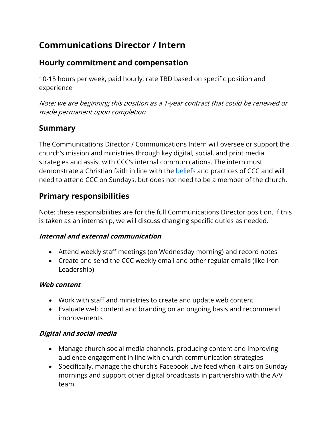# **Communications Director / Intern**

### **Hourly commitment and compensation**

10-15 hours per week, paid hourly; rate TBD based on specific position and experience

Note: we are beginning this position as a 1-year contract that could be renewed or made permanent upon completion.

### **Summary**

The Communications Director / Communications Intern will oversee or support the church's mission and ministries through key digital, social, and print media strategies and assist with CCC's internal communications. The intern must demonstrate a Christian faith in line with the **beliefs** and practices of CCC and will need to attend CCC on Sundays, but does not need to be a member of the church.

### **Primary responsibilities**

Note: these responsibilities are for the full Communications Director position. If this is taken as an internship, we will discuss changing specific duties as needed.

#### **Internal and external communication**

- Attend weekly staff meetings (on Wednesday morning) and record notes
- Create and send the CCC weekly email and other regular emails (like Iron Leadership)

#### **Web content**

- Work with staff and ministries to create and update web content
- Evaluate web content and branding on an ongoing basis and recommend improvements

#### **Digital and social media**

- Manage church social media channels, producing content and improving audience engagement in line with church communication strategies
- Specifically, manage the church's Facebook Live feed when it airs on Sunday mornings and support other digital broadcasts in partnership with the A/V team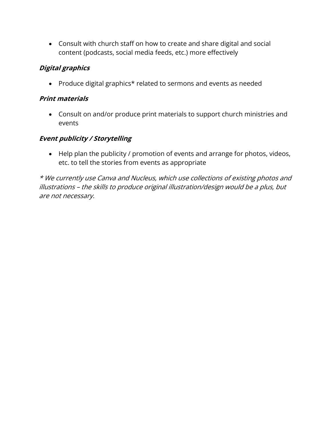• Consult with church staff on how to create and share digital and social content (podcasts, social media feeds, etc.) more effectively

#### **Digital graphics**

• Produce digital graphics\* related to sermons and events as needed

#### **Print materials**

• Consult on and/or produce print materials to support church ministries and events

### **Event publicity / Storytelling**

• Help plan the publicity / promotion of events and arrange for photos, videos, etc. to tell the stories from events as appropriate

\* We currently use Canva and Nucleus, which use collections of existing photos and illustrations – the skills to produce original illustration/design would be a plus, but are not necessary.